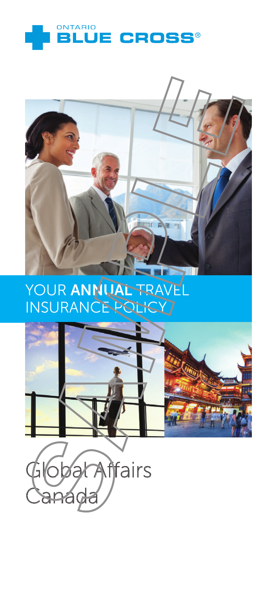



# YOUR ANNUAL TRAVEL **INSURANCE POLICY**



Global Affairs Canada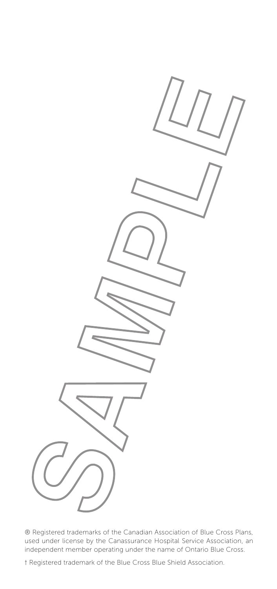® Registered trademarks of the Canadian Association of Blue Cross Plans, used under license by the Canassurance Hospital Service Association, an independent member operating under the name of Ontario Blue Cross.

† Registered trademark of the Blue Cross Blue Shield Association.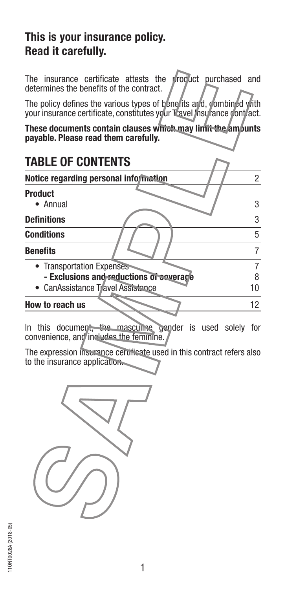#### **This is your insurance policy. Read it carefully.**

The insurance certificate attests the product purchased and determines the benefits of the contract.

The policy defines the various types of benefits and, combined with your insurance certificate, constitutes your Travel Insurance contract.

**These documents contain clauses which may limit the amounts payable. Please read them carefully.**

## **TABLE OF CONTENTS**

| Notice regarding personal information   |    |
|-----------------------------------------|----|
| <b>Product</b>                          |    |
| • Annual                                | 3  |
| <b>Definitions</b>                      | 3  |
| <b>Conditions</b>                       | 5  |
| <b>Benefits</b>                         |    |
| • Transportation Expenses               |    |
| - Exclusions and reductions of coverage |    |
| • CanAssistance Travel Assistance       | 10 |
| How to reach us                         |    |

In this document, the masculine gender is used solely for convenience, and includes the feminine.

The expression insurance certificate used in this contract refers also to the insurance application.

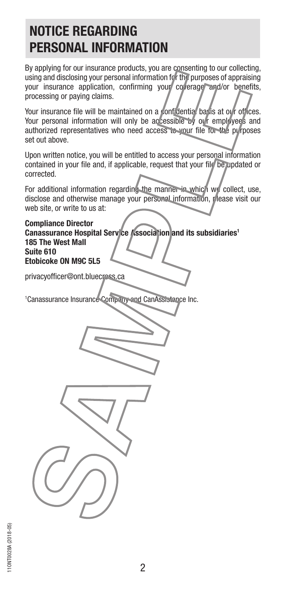## **NOTICE REGARDING PERSONAL INFORMATION**

By applying for our insurance products, you are consenting to our collecting, using and disclosing your personal information for the purposes of appraising your insurance application, confirming your coverage and/or benefits, processing or paying claims.

Your insurance file will be maintained on a confidential basis at our offices. Your personal information will only be accessible by our employees and authorized representatives who need access to your file for the purposes set out above.

Upon written notice, you will be entitled to access your personal information contained in your file and, if applicable, request that your file be updated or corrected.

For additional information regarding the manner in which we collect, use, disclose and otherwise manage your personal information, please visit our web site, or write to us at:

**Compliance Director** Canassurance Hospital Service *[*kssociation and its subsidiaries<sup>1</sup> **185 The West Mall Suite 610 Etobicoke ON M9C 5L5**

privacyofficer@ont.bluecross.ca

1 Canassurance Insurance Company and CanAssistance Inc.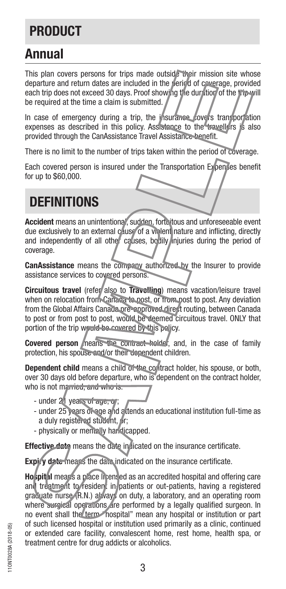# **PRODUCT**

## **Annual**

This plan covers persons for trips made outside their mission site whose departure and return dates are included in the period of coverage, provided each trip does not exceed 30 days. Proof showing the duration of the trip will be required at the time a claim is submitted.

In case of emergency during a trip, the insurance covers transportation expenses as described in this policy. Assistance to the travellers is also provided through the CanAssistance Travel Assistance benefit.

There is no limit to the number of trips taken within the period of coverage.

Each covered person is insured under the Transportation Expenses benefit for up to \$60,000.

# **DEFINITIONS**

**Accident** means an unintentional, sudden, fortuitous and unforeseeable event due exclusively to an external cause of a violent nature and inflicting, directly and independently of all other causes, bodily injuries during the period of coverage.

**CanAssistance** means the company authorized by the Insurer to provide assistance services to covered persons.

**Circuitous travel** (refer also to **Travelling**) means vacation/leisure travel when on relocation from Canaga to post, or from post to post. Any deviation from the Global Affairs Canada pre-approved direct routing, between Canada to post or from post to post, would be deemed circuitous travel. ONLY that portion of the trip would be covered by this policy.

**Covered person** neans the contract holder, and, in the case of family protection, his spouse and/or their dependent children.

**Dependent child** means a child of the contract holder, his spouse, or both, over 30 days old before departure, who is dependent on the contract holder, who is not married, and who is.

- under 21 years of age, or;
- under 25 years of age and attends an educational institution full-time as a duly registered student, or;
- physically or mentally handicapped.

**Effective date** means the date in licated on the insurance certificate.

**Expiry date means the date indicated on the insurance certificate.** 

**Hospital** means a place licensed as an accredited hospital and offering care and treatment to resident in patients or out-patients, having a registered graduate nurse (R.N.) always on duty, a laboratory, and an operating room where surgical operations are performed by a legally qualified surgeon. In no event shall the term mospital" mean any hospital or institution or part of such licensed hospital or institution used primarily as a clinic, continued or extended care facility, convalescent home, rest home, health spa, or treatment centre for drug addicts or alcoholics.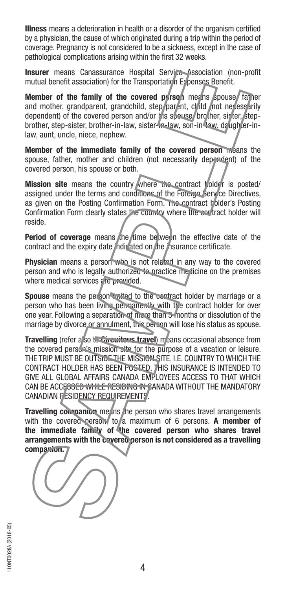**Illness** means a deterioration in health or a disorder of the organism certified by a physician, the cause of which originated during a trip within the period of coverage. Pregnancy is not considered to be a sickness, except in the case of pathological complications arising within the first 32 weeks.

**Insurer** means Canassurance Hospital Service Association (non-profit mutual benefit association) for the Transportation Expenses Benefit.

**Member of the family of the covered person means spouse** father and mother, grandparent, grandchild, step/parent, child (not necessarily dependent) of the covered person and/or his spouse, brother, sister, stepbrother, step-sister, brother-in-law, sister-in-law, son-in-law, daughter-inlaw, aunt, uncle, niece, nephew.

**Member of the immediate family of the covered person** means the spouse, father, mother and children (not necessarily dependent) of the covered person, his spouse or both.

Mission site means the country where the contract holder is posted/ assigned under the terms and conditions of the Foreign Service Directives, as given on the Posting Confirmation Form. The contract holder's Posting Confirmation Form clearly states the country where the contract holder will reside.

**Period of coverage** means the time between the effective date of the contract and the expiry date indicated on the insurance certificate.

**Physician** means a person who is not related in any way to the covered person and who is legally authorized to practice medicine on the premises where medical services are provided.

**Spouse** means the person waited to the contract holder by marriage or a person who has been living permanently with the contract holder for over one year. Following a separation of more than 3 months or dissolution of the marriage by divorce or annulment, this person will lose his status as spouse.

**Travelling** (refer also to Circuitous travel) means occasional absence from the covered person's mission site for the purpose of a vacation or leisure. THE TRIP MUST BE OUTSIDE THE MISSION SITE, I.E. COUNTRY TO WHICH THE CONTRACT HOLDER HAS BEEN POSTED. THIS INSURANCE IS INTENDED TO GIVE ALL GLOBAL AFFAIRS CANADA EMPLOYEES ACCESS TO THAT WHICH CAN BE ACCE<del>SSED WHILE RESIDING IN C</del>ANADA WITHOUT THE MANDATORY CANADIAN RESIDENCY REQUIREMENTS.

**Travelling companion** means the person who shares travel arrangements with the covered person, to a maximum of 6 persons. A member of **the immediate family of the covered person who shares travel arrangements with the covered person is not considered as a travelling companion.**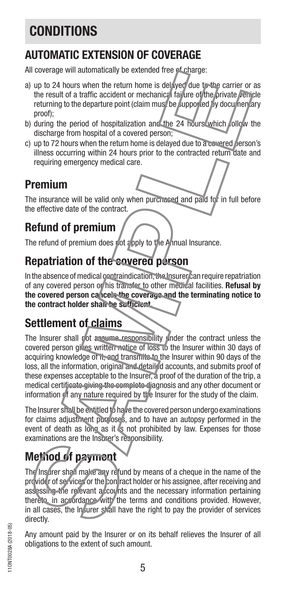# **CONDITIONS**

### **AUTOMATIC EXTENSION OF COVERAGE**

All coverage will automatically be extended free of charge:

- a) up to 24 hours when the return home is delayed due to the carrier or as the result of a traffic accident or mechanical failure of the private vehicle returning to the departure point (claim must be supported by documentary proof);
- b) during the period of hospitalization and the 24 hours which follow the discharge from hospital of a covered person;
- c) up to 72 hours when the return home is delayed due to a covered person's illness occurring within 24 hours prior to the contracted return date and requiring emergency medical care.

### **Premium**

The insurance will be valid only when purchased and paid for in full before the effective date of the contract.

### **Refund of premium**

The refund of premium does not apply to the Annual Insurance.

### **Repatriation of the covered person**

In the absence of medical contraindication, the Insurer can require repatriation of any covered person or his transfer to other medical facilities. **Refusal by the covered person cancels the coverage and the terminating notice to the contract holder shall be sufficient.**

## **Settlement of claims**

The Insurer shall not assume responsibility under the contract unless the covered person gives written notice of loss to the Insurer within 30 days of acquiring knowledge of it, and transmits to the Insurer within 90 days of the loss, all the information, original and detailed accounts, and submits proof of these expenses acceptable to the Insurer, a proof of the duration of the trip, a medical certificate giving the complete diagnosis and any other document or information of any nature required by the Insurer for the study of the claim.

The Insurer shall be entitled to have the covered person undergo examinations for claims adjustment purposes, and to have an autopsy performed in the event of death as long as it is not prohibited by law. Expenses for those examinations are the Insurer's responsibility.

# **Method of payment**

The Insurer shall make any refund by means of a cheque in the name of the provider of services or the contract holder or his assignee, after receiving and assessing the relevant accounts and the necessary information pertaining thereto, in accordance with the terms and conditions provided. However, in all cases, the Insurer shall have the right to pay the provider of services directly.

Any amount paid by the Insurer or on its behalf relieves the Insurer of all obligations to the extent of such amount.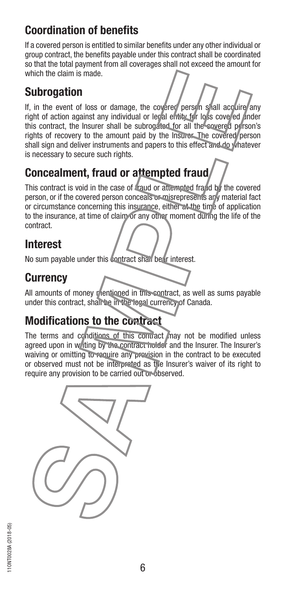#### **Coordination of benefits**

If a covered person is entitled to similar benefits under any other individual or group contract, the benefits payable under this contract shall be coordinated so that the total payment from all coverages shall not exceed the amount for which the claim is made.

#### **Subrogation**

If, in the event of loss or damage, the covered person shall acquire any right of action against any individual or legal entity for loss covered under this contract, the Insurer shall be subrogated for all the covered person's rights of recovery to the amount paid by the Insurer. The covered person shall sign and deliver instruments and papers to this effect and do whatever is necessary to secure such rights.

## **Concealment, fraud or attempted fraud**

This contract is void in the case of fraud or attempted fraud by the covered person, or if the covered person conceals or misrepresents any material fact or circumstance concerning this insurance, either at the time of application to the insurance, at time of claim or any other moment during the life of the contract.

#### **Interest**

No sum payable under this contract shall bear interest.

#### **Currency**

All amounts of money mentioned in this contract, as well as sums payable under this contract, shall be in the logal currency of Canada.

#### **Modifications to the contract**

The terms and conditions of this contract may not be modified unless agreed upon in writing by the contract holder and the Insurer. The Insurer's waiving or omitting to require any prevision in the contract to be executed or observed must not be interpreted as the Insurer's waiver of its right to require any provision to be carried out or observed.

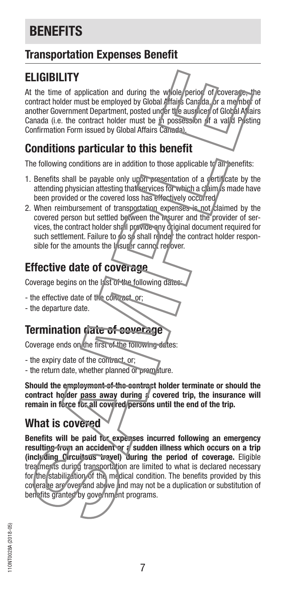# **BENEFITS**

### **Transportation Expenses Benefit**

### **ELIGIBILITY**

At the time of application and during the whole period of coverage, the contract holder must be employed by Global Affairs Canada, or a member of another Government Department, posted under the auspices of Global Affairs Canada (i.e. the contract holder must be in possession of a valid Posting Confirmation Form issued by Global Affairs Canada).

### **Conditions particular to this benefit**

The following conditions are in addition to those applicable to all benefits:

- 1. Benefits shall be payable only upon presentation of a certificate by the attending physician attesting that services for which a claim is made have been provided or the covered loss has effectively occurred.
- 2. When reimbursement of transportation expenses is not claimed by the covered person but settled between the Insurer and the provider of services, the contract holder shall provide any original document required for such settlement. Failure to do so shall render the contract holder responsible for the amounts the **Insurer** cannot recover.

## **Effective date of coverage**

Coverage begins on the last of the following dates:

- the effective date of the contract, or;
- the departure date.

### **Termination date of coverage**

Coverage ends on the first of the following dates:

- the expiry date of the contract, or;

- the return date, whether planned or premature.

**Should the employment of the contract holder terminate or should the**  contract holder pass away during *f* covered trip, the insurance will **remain in force for all covered persons until the end of the trip.**

### **What is covered**

**Benefits will be paid for expenses incurred following an emergency**  resulting from an accident or a sudden illness which occurs on a trip **(including Circuitous travel) during the period of coverage.** Eligible treatments during transportation are limited to what is declared necessary for the stabilization of the medical condition. The benefits provided by this coverage are over and above and may not be a duplication or substitution of benefits granted by government programs.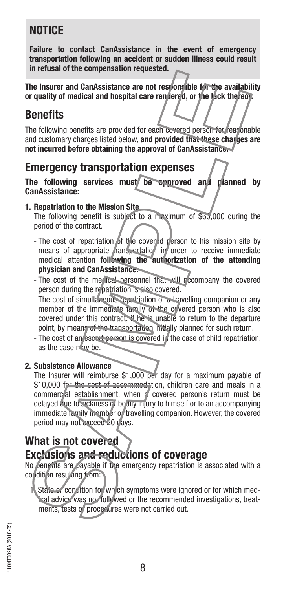### **NOTICE**

**Failure to contact CanAssistance in the event of emergency transportation following an accident or sudden illness could result in refusal of the compensation requested.**

**The Insurer and CanAssistance are not responsible for the availability or quality of medical and hospital care rendered, or the lack thereof.**

#### **Benefits**

The following benefits are provided for each covered person for reasonable and customary charges listed below, **and provided that these charges are not incurred before obtaining the approval of CanAssistance.**

#### **Emergency transportation expenses**

**The following services must be approved and planned by CanAssistance:**

#### **1. Repatriation to the Mission Site**

The following benefit is subject to a maximum of \$60,000 during the period of the contract.

- The cost of repatriation of the covered person to his mission site by means of appropriate transportation in order to receive immediate medical attention **following the authorization of the attending physician and CanAssistance.**
- The cost of the medical personnel that will accompany the covered person during the repatriation is also covered.
- The cost of simultaneous repatriation of a travelling companion or any member of the immediate family of the covered person who is also covered under this contract, if he is unable to return to the departure point, by means of the transportation initially planned for such return.
- The cost of an escort person is covered in the case of child repatriation, as the case now be.

#### **2. Subsistence Allowance**

The Insurer will reimburse \$1,000 per day for a maximum payable of \$10,000 for the cost of accommodation, children care and meals in a commercial establishment, when a covered person's return must be delayed due to sickness or bodily injury to himself or to an accompanying immediate family member or travelling companion. However, the covered period may not exceed 20 days.

#### **What is not covered Exclusions and reductions of coverage**

No benefits are payable if the emergency repatriation is associated with a condition resulting from:

1. State or condition for which symptoms were ignored or for which medical advice was not followed or the recommended investigations, treatments, tests of procedures were not carried out.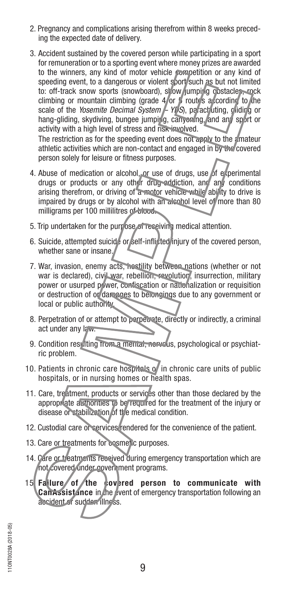- 2. Pregnancy and complications arising therefrom within 8 weeks preceding the expected date of delivery.
- 3. Accident sustained by the covered person while participating in a sport for remuneration or to a sporting event where money prizes are awarded to the winners, any kind of motor vehicle competition or any kind of speeding event, to a dangerous or violent sport such as but not limited to: off-track snow sports (snowboard), show jumping costacles, rock climbing or mountain climbing (grade  $4/$  or  $5$  routes according to the scale of the *Yosemite Decimal System* – YDS, parachuting, gliding or hang-gliding, skydiving, bungee jumping, canyoning, and any sport or activity with a high level of stress and risk involved.

The restriction as for the speeding event does not apply to the amateur athletic activities which are non-contact and engaged in by the covered person solely for leisure or fitness purposes.

- 4. Abuse of medication or alcohol, or use of drugs, use of experimental drugs or products or any other drug-addiction, and any conditions arising therefrom, or driving of a motor vehicle while ability to drive is impaired by drugs or by alcohol with an alcohol level of more than 80 milligrams per 100 millilitres of blood.
- 5. Trip undertaken for the purpose of receiving medical attention.
- 6. Suicide, attempted suicide or self-inflicted injury of the covered person, whether sane or insane.
- 7. War, invasion, enemy acts, hostility between nations (whether or not war is declared), civil war, rebellion, revolution, insurrection, military power or usurped power, confiscation or nationalization or requisition or destruction of or damages to belongings due to any government or local or public authority.
- 8. Perpetration of or attempt to perpetrate, directly or indirectly, a criminal act under any law.
- 9. Condition resulting from a mental, nervous, psychological or psychiatric problem.
- 10. Patients in chronic care hospitals of in chronic care units of public hospitals, or in nursing homes or health spas.
- 11. Care, treatment, products or services other than those declared by the appropriate authorities to be required for the treatment of the injury or disease or stabilization of the medical condition.
- 12. Custodial care or services rendered for the convenience of the patient.
- 13. Care or treatments for cosmetic purposes.
- 14. Care or treatments received during emergency transportation which are not covered under government programs.
- 15. **Failure of the covered person to communicate with CanAssistance** in the event of emergency transportation following an accident or sudden illness.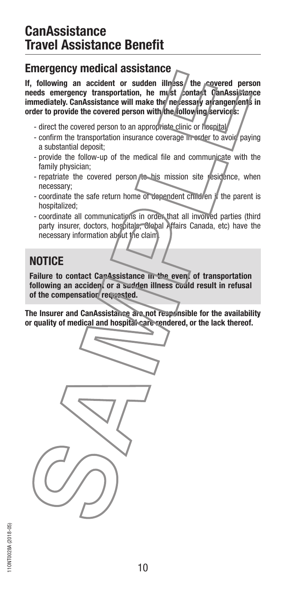### **CanAssistance Travel Assistance Benefit**

#### **Emergency medical assistance**

**If, following an accident or sudden illness** the covered person **needs emergency transportation, he must contact CanAssistance immediately. CanAssistance will make the necessary arrangements in** order to provide the covered person with the **following** services:

- direct the covered person to an appropriate clinic or hospital;
- confirm the transportation insurance coverage in order to avoid paying a substantial deposit;
- provide the follow-up of the medical file and communicate with the family physician;
- repatriate the covered person to his mission site residence, when necessary;
- coordinate the safe return home of dependent children if the parent is hospitalized;
- coordinate all communications in order that all involved parties (third party insurer, doctors, hospitals, Global Affairs Canada, etc) have the necessary information about the claim.

#### **NOTICE**

Failure to contact CanAssistance in the event of transportation **following an accident or a sudden illness could result in refusal of the compensation requested.**

**The Insurer and CanAssistance are not responsible for the availability or quality of medical and hospital care rendered, or the lack thereof.**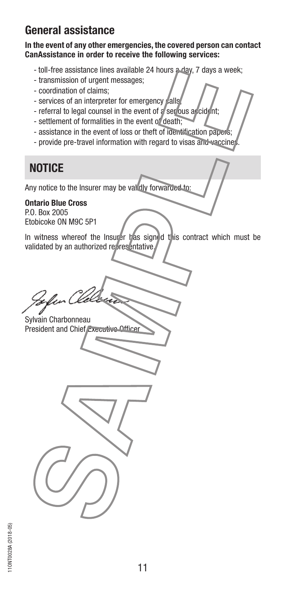#### **General assistance**

#### **In the event of any other emergencies, the covered person can contact CanAssistance in order to receive the following services:**

- toll-free assistance lines available 24 hours a day, 7 days a week;
- transmission of urgent messages;
- coordination of claims;
- services of an interpreter for emergency calls
- referral to legal counsel in the event of a serious accident;
- settlement of formalities in the event of death;
- assistance in the event of loss or theft of identification papers;
- provide pre-travel information with regard to visas and vaccine.

## **NOTICE**

Any notice to the Insurer may be validly forwarded to:

#### **Ontario Blue Cross**

P.O. Box 2005 Etobicoke ON M9C 5P1

In witness whereof the Insurer has signed this contract which must be validated by an authorized representative

Sylvain Charbonneau President and Chief Executive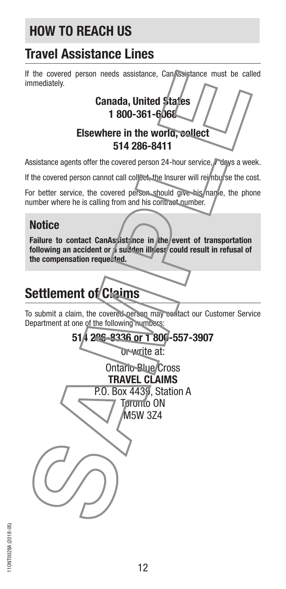# **HOW TO REACH US**

# **Travel Assistance Lines**

If the covered person needs assistance, Can Ssistance must be called immediately.

**Canada, United States 1 800-361-6068 Elsewhere in the world, collect 514 286-8411**

Assistance agents offer the covered person 24-hour service, devs a week.

If the covered person cannot call collect, the Insurer will reimburse the cost.

For better service, the covered person should give his name, the phone number where he is calling from and his contract number.

#### **Notice**

Failure to contact CanAssistance in the event of transportation following an accident or a sudden illness could result in refusal of **the compensation requested.**

# **Settlement of Claims**

To submit a claim, the covered person may contact our Customer Service Department at one of the following numbers: